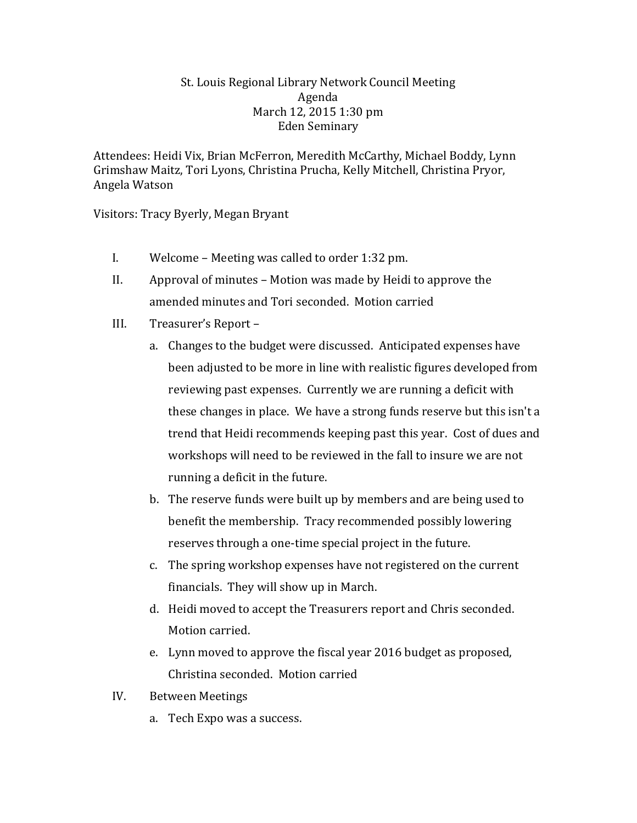## St. Louis Regional Library Network Council Meeting Agenda March 12, 2015 1:30 pm Eden Seminary

Attendees: Heidi Vix, Brian McFerron, Meredith McCarthy, Michael Boddy, Lynn Grimshaw Maitz, Tori Lyons, Christina Prucha, Kelly Mitchell, Christina Pryor, Angela Watson

Visitors: Tracy Byerly, Megan Bryant

- I. Welcome Meeting was called to order 1:32 pm.
- II. Approval of minutes Motion was made by Heidi to approve the amended minutes and Tori seconded. Motion carried
- III. Treasurer's Report
	- a. Changes to the budget were discussed. Anticipated expenses have been adjusted to be more in line with realistic figures developed from reviewing past expenses. Currently we are running a deficit with these changes in place. We have a strong funds reserve but this isn't a trend that Heidi recommends keeping past this year. Cost of dues and workshops will need to be reviewed in the fall to insure we are not running a deficit in the future.
	- b. The reserve funds were built up by members and are being used to benefit the membership. Tracy recommended possibly lowering reserves through a one-time special project in the future.
	- c. The spring workshop expenses have not registered on the current financials. They will show up in March.
	- d. Heidi moved to accept the Treasurers report and Chris seconded. Motion carried.
	- e. Lynn moved to approve the fiscal year 2016 budget as proposed, Christina seconded. Motion carried
- IV. Between Meetings
	- a. Tech Expo was a success.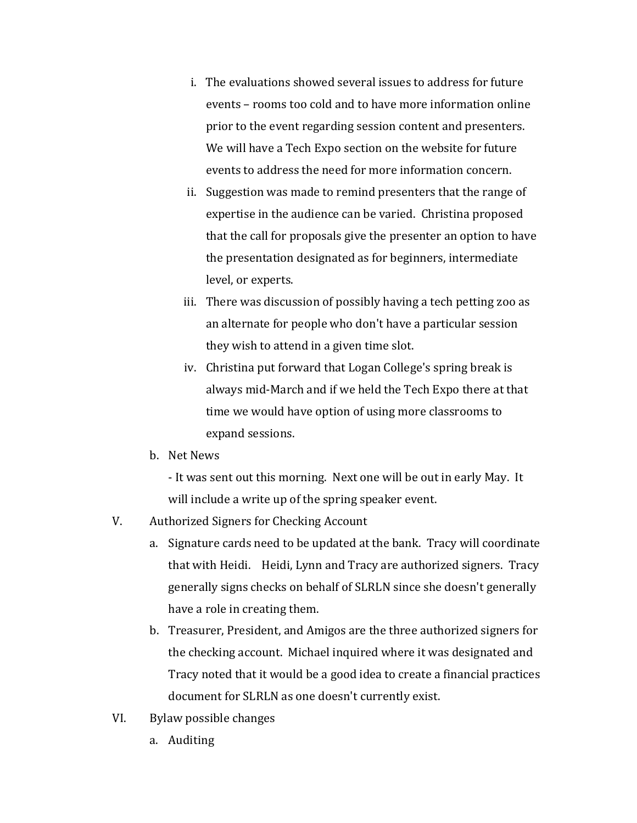- i. The evaluations showed several issues to address for future events – rooms too cold and to have more information online prior to the event regarding session content and presenters. We will have a Tech Expo section on the website for future events to address the need for more information concern.
- ii. Suggestion was made to remind presenters that the range of expertise in the audience can be varied. Christina proposed that the call for proposals give the presenter an option to have the presentation designated as for beginners, intermediate level, or experts.
- iii. There was discussion of possibly having a tech petting zoo as an alternate for people who don't have a particular session they wish to attend in a given time slot.
- iv. Christina put forward that Logan College's spring break is always mid-March and if we held the Tech Expo there at that time we would have option of using more classrooms to expand sessions.
- b. Net News
	- It was sent out this morning. Next one will be out in early May. It will include a write up of the spring speaker event.
- V. Authorized Signers for Checking Account
	- a. Signature cards need to be updated at the bank. Tracy will coordinate that with Heidi. Heidi, Lynn and Tracy are authorized signers. Tracy generally signs checks on behalf of SLRLN since she doesn't generally have a role in creating them.
	- b. Treasurer, President, and Amigos are the three authorized signers for the checking account. Michael inquired where it was designated and Tracy noted that it would be a good idea to create a financial practices document for SLRLN as one doesn't currently exist.
- VI. Bylaw possible changes
	- a. Auditing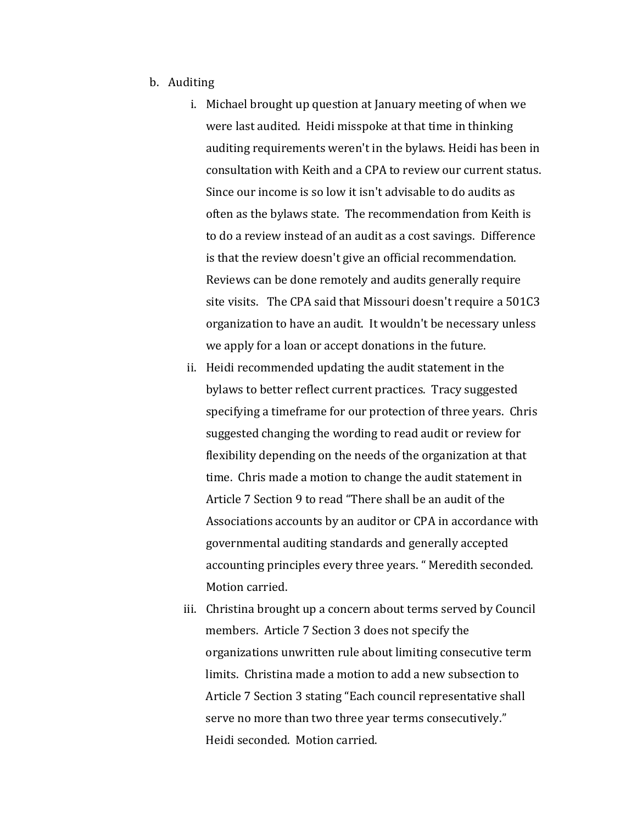- b. Auditing
	- i. Michael brought up question at January meeting of when we were last audited. Heidi misspoke at that time in thinking auditing requirements weren't in the bylaws. Heidi has been in consultation with Keith and a CPA to review our current status. Since our income is so low it isn't advisable to do audits as often as the bylaws state. The recommendation from Keith is to do a review instead of an audit as a cost savings. Difference is that the review doesn't give an official recommendation. Reviews can be done remotely and audits generally require site visits. The CPA said that Missouri doesn't require a 501C3 organization to have an audit. It wouldn't be necessary unless we apply for a loan or accept donations in the future.
	- ii. Heidi recommended updating the audit statement in the bylaws to better reflect current practices. Tracy suggested specifying a timeframe for our protection of three years. Chris suggested changing the wording to read audit or review for flexibility depending on the needs of the organization at that time. Chris made a motion to change the audit statement in Article 7 Section 9 to read "There shall be an audit of the Associations accounts by an auditor or CPA in accordance with governmental auditing standards and generally accepted accounting principles every three years. " Meredith seconded. Motion carried.
	- iii. Christina brought up a concern about terms served by Council members. Article 7 Section 3 does not specify the organizations unwritten rule about limiting consecutive term limits. Christina made a motion to add a new subsection to Article 7 Section 3 stating "Each council representative shall serve no more than two three year terms consecutively." Heidi seconded. Motion carried.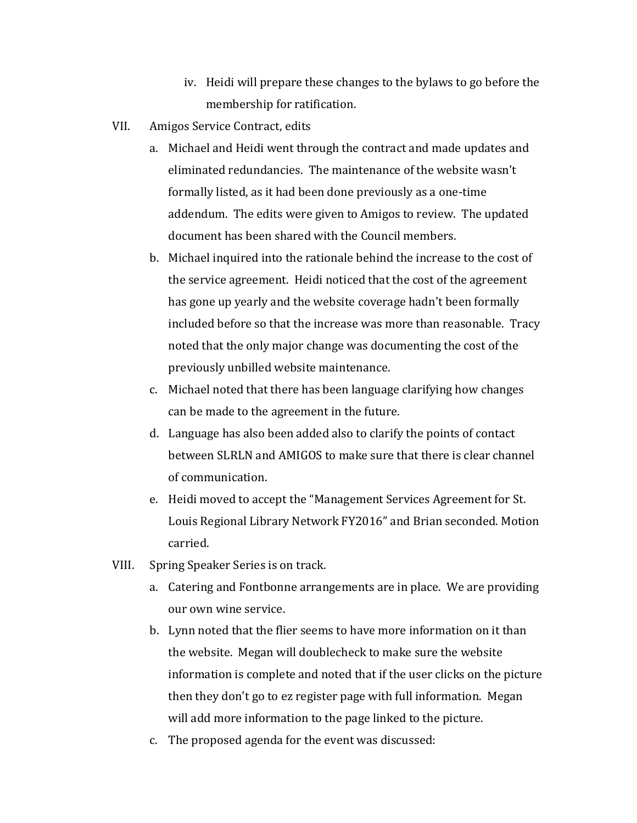- iv. Heidi will prepare these changes to the bylaws to go before the membership for ratification.
- VII. Amigos Service Contract, edits
	- a. Michael and Heidi went through the contract and made updates and eliminated redundancies. The maintenance of the website wasn't formally listed, as it had been done previously as a one-time addendum. The edits were given to Amigos to review. The updated document has been shared with the Council members.
	- b. Michael inquired into the rationale behind the increase to the cost of the service agreement. Heidi noticed that the cost of the agreement has gone up yearly and the website coverage hadn't been formally included before so that the increase was more than reasonable. Tracy noted that the only major change was documenting the cost of the previously unbilled website maintenance.
	- c. Michael noted that there has been language clarifying how changes can be made to the agreement in the future.
	- d. Language has also been added also to clarify the points of contact between SLRLN and AMIGOS to make sure that there is clear channel of communication.
	- e. Heidi moved to accept the "Management Services Agreement for St. Louis Regional Library Network FY2016" and Brian seconded. Motion carried.
- VIII. Spring Speaker Series is on track.
	- a. Catering and Fontbonne arrangements are in place. We are providing our own wine service.
	- b. Lynn noted that the flier seems to have more information on it than the website. Megan will doublecheck to make sure the website information is complete and noted that if the user clicks on the picture then they don't go to ez register page with full information. Megan will add more information to the page linked to the picture.
	- c. The proposed agenda for the event was discussed: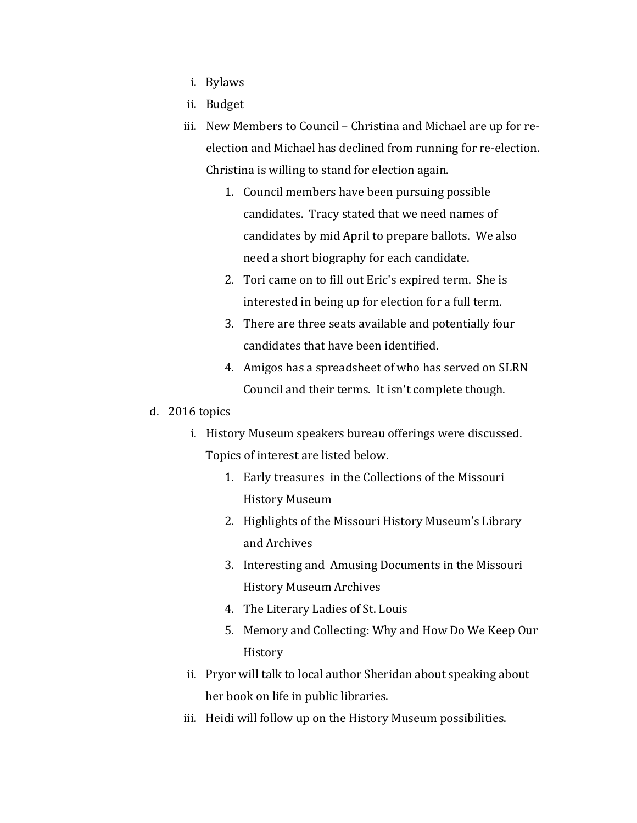- i. Bylaws
- ii. Budget
- iii. New Members to Council Christina and Michael are up for reelection and Michael has declined from running for re-election. Christina is willing to stand for election again.
	- 1. Council members have been pursuing possible candidates. Tracy stated that we need names of candidates by mid April to prepare ballots. We also need a short biography for each candidate.
	- 2. Tori came on to fill out Eric's expired term. She is interested in being up for election for a full term.
	- 3. There are three seats available and potentially four candidates that have been identified.
	- 4. Amigos has a spreadsheet of who has served on SLRN Council and their terms. It isn't complete though.

## d. 2016 topics

- i. History Museum speakers bureau offerings were discussed. Topics of interest are listed below.
	- 1. Early treasures in the Collections of the Missouri History Museum
	- 2. Highlights of the Missouri History Museum's Library and Archives
	- 3. Interesting and Amusing Documents in the Missouri History Museum Archives
	- 4. The Literary Ladies of St. Louis
	- 5. Memory and Collecting: Why and How Do We Keep Our **History**
- ii. Pryor will talk to local author Sheridan about speaking about her book on life in public libraries.
- iii. Heidi will follow up on the History Museum possibilities.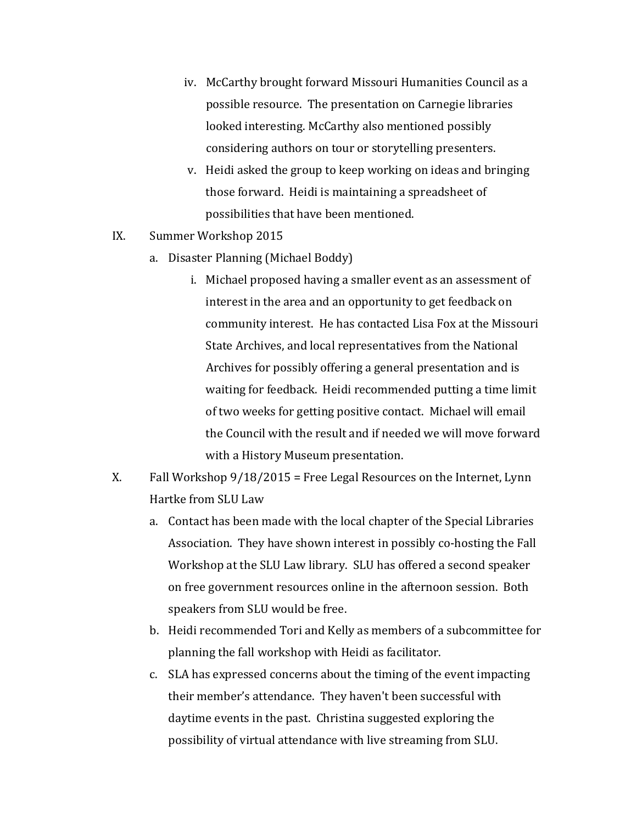- iv. McCarthy brought forward Missouri Humanities Council as a possible resource. The presentation on Carnegie libraries looked interesting. McCarthy also mentioned possibly considering authors on tour or storytelling presenters.
- v. Heidi asked the group to keep working on ideas and bringing those forward. Heidi is maintaining a spreadsheet of possibilities that have been mentioned.
- IX. Summer Workshop 2015
	- a. Disaster Planning (Michael Boddy)
		- i. Michael proposed having a smaller event as an assessment of interest in the area and an opportunity to get feedback on community interest. He has contacted Lisa Fox at the Missouri State Archives, and local representatives from the National Archives for possibly offering a general presentation and is waiting for feedback. Heidi recommended putting a time limit of two weeks for getting positive contact. Michael will email the Council with the result and if needed we will move forward with a History Museum presentation.
- X. Fall Workshop 9/18/2015 = Free Legal Resources on the Internet, Lynn Hartke from SLU Law
	- a. Contact has been made with the local chapter of the Special Libraries Association. They have shown interest in possibly co-hosting the Fall Workshop at the SLU Law library. SLU has offered a second speaker on free government resources online in the afternoon session. Both speakers from SLU would be free.
	- b. Heidi recommended Tori and Kelly as members of a subcommittee for planning the fall workshop with Heidi as facilitator.
	- c. SLA has expressed concerns about the timing of the event impacting their member's attendance. They haven't been successful with daytime events in the past. Christina suggested exploring the possibility of virtual attendance with live streaming from SLU.